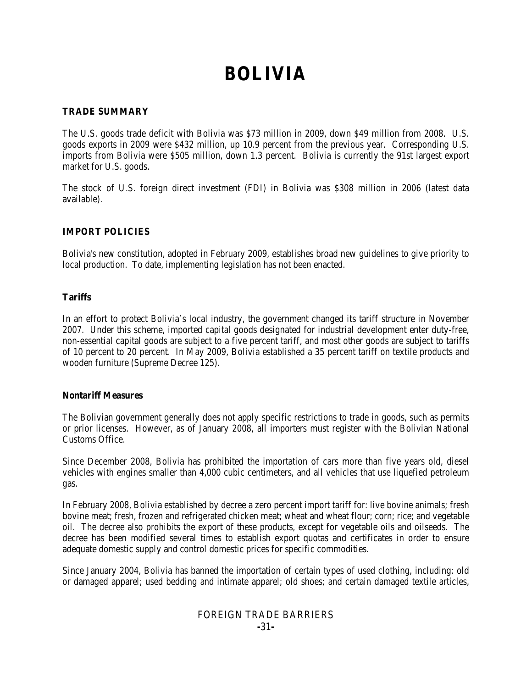# **BOLIVIA**

#### **TRADE SUMMARY**

The U.S. goods trade deficit with Bolivia was \$73 million in 2009, down \$49 million from 2008. U.S. goods exports in 2009 were \$432 million, up 10.9 percent from the previous year. Corresponding U.S. imports from Bolivia were \$505 million, down 1.3 percent. Bolivia is currently the 91st largest export market for U.S. goods.

The stock of U.S. foreign direct investment (FDI) in Bolivia was \$308 million in 2006 (latest data available).

## **IMPORT POLICIES**

Bolivia's new constitution, adopted in February 2009, establishes broad new guidelines to give priority to local production. To date, implementing legislation has not been enacted.

#### **Tariffs**

In an effort to protect Bolivia's local industry, the government changed its tariff structure in November 2007. Under this scheme, imported capital goods designated for industrial development enter duty-free, non-essential capital goods are subject to a five percent tariff, and most other goods are subject to tariffs of 10 percent to 20 percent. In May 2009, Bolivia established a 35 percent tariff on textile products and wooden furniture (Supreme Decree 125).

#### **Nontariff Measures**

The Bolivian government generally does not apply specific restrictions to trade in goods, such as permits or prior licenses. However, as of January 2008, all importers must register with the Bolivian National Customs Office.

Since December 2008, Bolivia has prohibited the importation of cars more than five years old, diesel vehicles with engines smaller than 4,000 cubic centimeters, and all vehicles that use liquefied petroleum gas.

In February 2008, Bolivia established by decree a zero percent import tariff for: live bovine animals; fresh bovine meat; fresh, frozen and refrigerated chicken meat; wheat and wheat flour; corn; rice; and vegetable oil. The decree also prohibits the export of these products, except for vegetable oils and oilseeds. The decree has been modified several times to establish export quotas and certificates in order to ensure adequate domestic supply and control domestic prices for specific commodities.

Since January 2004, Bolivia has banned the importation of certain types of used clothing, including: old or damaged apparel; used bedding and intimate apparel; old shoes; and certain damaged textile articles,

# FOREIGN TRADE BARRIERS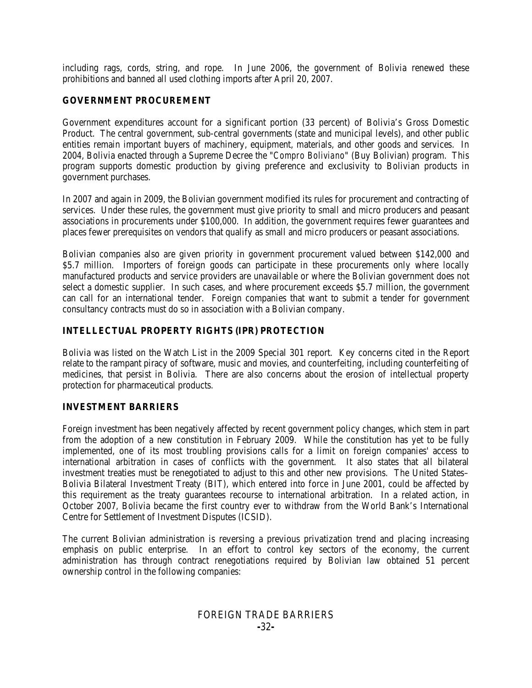including rags, cords, string, and rope. In June 2006, the government of Bolivia renewed these prohibitions and banned all used clothing imports after April 20, 2007.

#### **GOVERNMENT PROCUREMENT**

Government expenditures account for a significant portion (33 percent) of Bolivia's Gross Domestic Product. The central government, sub-central governments (state and municipal levels), and other public entities remain important buyers of machinery, equipment, materials, and other goods and services. In 2004, Bolivia enacted through a Supreme Decree the "*Compro Boliviano*" (Buy Bolivian) program. This program supports domestic production by giving preference and exclusivity to Bolivian products in government purchases.

In 2007 and again in 2009, the Bolivian government modified its rules for procurement and contracting of services. Under these rules, the government must give priority to small and micro producers and peasant associations in procurements under \$100,000. In addition, the government requires fewer guarantees and places fewer prerequisites on vendors that qualify as small and micro producers or peasant associations.

Bolivian companies also are given priority in government procurement valued between \$142,000 and \$5.7 million. Importers of foreign goods can participate in these procurements only where locally manufactured products and service providers are unavailable or where the Bolivian government does not select a domestic supplier. In such cases, and where procurement exceeds \$5.7 million, the government can call for an international tender. Foreign companies that want to submit a tender for government consultancy contracts must do so in association with a Bolivian company.

#### **INTELLECTUAL PROPERTY RIGHTS (IPR) PROTECTION**

Bolivia was listed on the Watch List in the 2009 Special 301 report. Key concerns cited in the Report relate to the rampant piracy of software, music and movies, and counterfeiting, including counterfeiting of medicines, that persist in Bolivia. There are also concerns about the erosion of intellectual property protection for pharmaceutical products.

#### **INVESTMENT BARRIERS**

Foreign investment has been negatively affected by recent government policy changes, which stem in part from the adoption of a new constitution in February 2009. While the constitution has yet to be fully implemented, one of its most troubling provisions calls for a limit on foreign companies' access to international arbitration in cases of conflicts with the government. It also states that all bilateral investment treaties must be renegotiated to adjust to this and other new provisions. The United States– Bolivia Bilateral Investment Treaty (BIT), which entered into force in June 2001, could be affected by this requirement as the treaty guarantees recourse to international arbitration. In a related action, in October 2007, Bolivia became the first country ever to withdraw from the World Bank's International Centre for Settlement of Investment Disputes (ICSID).

The current Bolivian administration is reversing a previous privatization trend and placing increasing emphasis on public enterprise. In an effort to control key sectors of the economy, the current administration has through contract renegotiations required by Bolivian law obtained 51 percent ownership control in the following companies:

## FOREIGN TRADE BARRIERS **-**32**-**